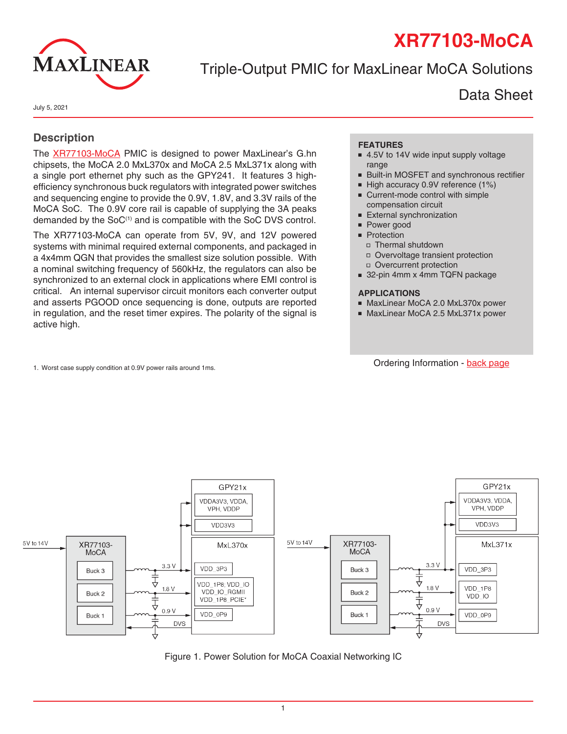# **XR77103-MoCA**



# Triple-Output PMIC for MaxLinear MoCA Solutions

Data Sheet

July 5, 2021

### **Description**

The [XR77103-MoCA](https://www.maxlinear.com/xr77103-moca) PMIC is designed to power MaxLinear's G.hn chipsets, the MoCA 2.0 MxL370x and MoCA 2.5 MxL371x along with a single port ethernet phy such as the GPY241. It features 3 highefficiency synchronous buck regulators with integrated power switches and sequencing engine to provide the 0.9V, 1.8V, and 3.3V rails of the MoCA SoC. The 0.9V core rail is capable of supplying the 3A peaks demanded by the SoC<sup>(1)</sup> and is compatible with the SoC DVS control.

The XR77103-MoCA can operate from 5V, 9V, and 12V powered systems with minimal required external components, and packaged in a 4x4mm QGN that provides the smallest size solution possible. With a nominal switching frequency of 560kHz, the regulators can also be synchronized to an external clock in applications where EMI control is critical. An internal supervisor circuit monitors each converter output and asserts PGOOD once sequencing is done, outputs are reported in regulation, and the reset timer expires. The polarity of the signal is active high.

1. Worst case supply condition at 0.9V power rails around 1ms. Change of the state of the condition - [back page](#page-16-0)

#### **FEATURES**

- 4.5V to 14V wide input supply voltage range
- Built-in MOSFET and synchronous rectifier
- High accuracy 0.9V reference (1%)
- Current-mode control with simple compensation circuit
- **External synchronization**
- Power good
- **Protection** 
	- ■ Thermal shutdown
	- □ Overvoltage transient protection
	- ■ Overcurrent protection
- 32-pin 4mm x 4mm TQFN package

#### **APPLICATIONS**

- MaxLinear MoCA 2.0 MxL370x power
- MaxLinear MoCA 2.5 MxL371x power



Figure 1. Power Solution for MoCA Coaxial Networking IC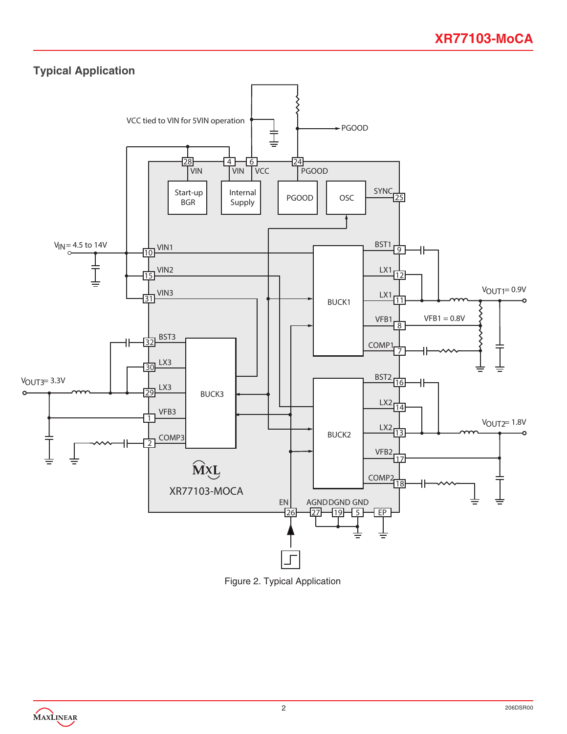

Figure 2. Typical Application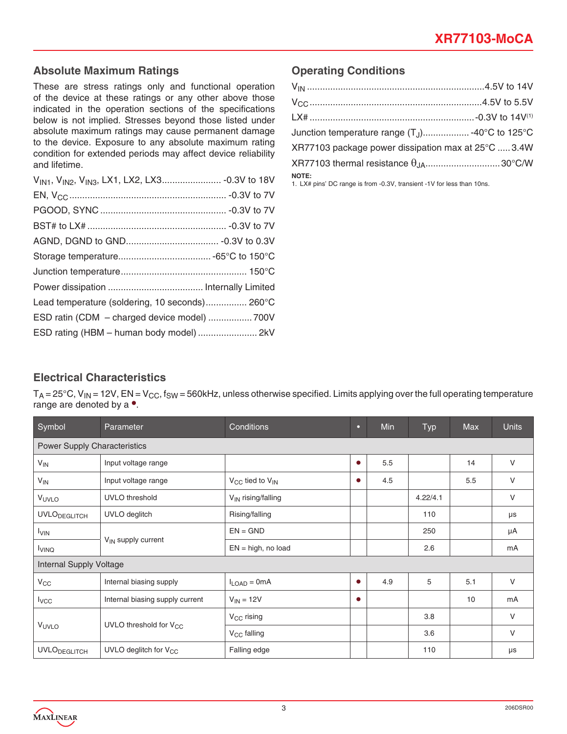### **Absolute Maximum Ratings**

These are stress ratings only and functional operation of the device at these ratings or any other above those indicated in the operation sections of the specifications below is not implied. Stresses beyond those listed under absolute maximum ratings may cause permanent damage to the device. Exposure to any absolute maximum rating condition for extended periods may affect device reliability and lifetime.

| Lead temperature (soldering, 10 seconds) 260°C |  |
|------------------------------------------------|--|
| ESD ratin (CDM - charged device model)  700V   |  |
|                                                |  |

### **Operating Conditions**

| Junction temperature range (T <sub>J</sub> ) -40°C to 125°C                            |  |
|----------------------------------------------------------------------------------------|--|
| XR77103 package power dissipation max at 25°C  3.4W                                    |  |
|                                                                                        |  |
| <b>NOTE:</b><br>1. LX# pins' DC range is from -0.3V, transient -1V for less than 10ns. |  |

### **Electrical Characteristics**

 $T_A = 25^\circ C$ , V<sub>IN</sub> = 12V, EN = V<sub>CC</sub>, f<sub>SW</sub> = 560kHz, unless otherwise specified. Limits applying over the full operating temperature range are denoted by a  $\bullet$ .

| Symbol                              | Parameter                          | Conditions                      | o         | Min | <b>Typ</b> | Max | <b>Units</b> |
|-------------------------------------|------------------------------------|---------------------------------|-----------|-----|------------|-----|--------------|
| <b>Power Supply Characteristics</b> |                                    |                                 |           |     |            |     |              |
| $V_{IN}$                            | Input voltage range                |                                 | $\bullet$ | 5.5 |            | 14  | $\vee$       |
| $V_{IN}$                            | Input voltage range                | $V_{CC}$ tied to $V_{IN}$       | $\bullet$ | 4.5 |            | 5.5 | V            |
| VUVLO                               | UVLO threshold                     | V <sub>IN</sub> rising/falling  |           |     | 4.22/4.1   |     | $\vee$       |
| <b>UVLO</b> DEGLITCH                | UVLO deglitch                      | Rising/falling                  |           |     | 110        |     | $\mu s$      |
| <b>I</b> VIN                        | V <sub>IN</sub> supply current     | $EN = GND$                      |           |     | 250        |     | μA           |
| <b>I</b> VINQ                       |                                    | $EN = high$ , no load           |           |     | 2.6        |     | mA           |
|                                     | Internal Supply Voltage            |                                 |           |     |            |     |              |
| $V_{CC}$                            | Internal biasing supply            | $I_{\text{LOAD}} = 0 \text{mA}$ | $\bullet$ | 4.9 | 5          | 5.1 | $\vee$       |
| $I_{VCC}$                           | Internal biasing supply current    | $V_{IN} = 12V$                  | $\bullet$ |     |            | 10  | mA           |
|                                     |                                    | $V_{CC}$ rising                 |           |     | 3.8        |     | $\vee$       |
| VUVLO                               | UVLO threshold for V <sub>CC</sub> | V <sub>CC</sub> falling         |           |     | 3.6        |     | $\vee$       |
| <b>UVLO</b> DEGLITCH                | UVLO deglitch for $V_{CC}$         | Falling edge                    |           |     | 110        |     | μs           |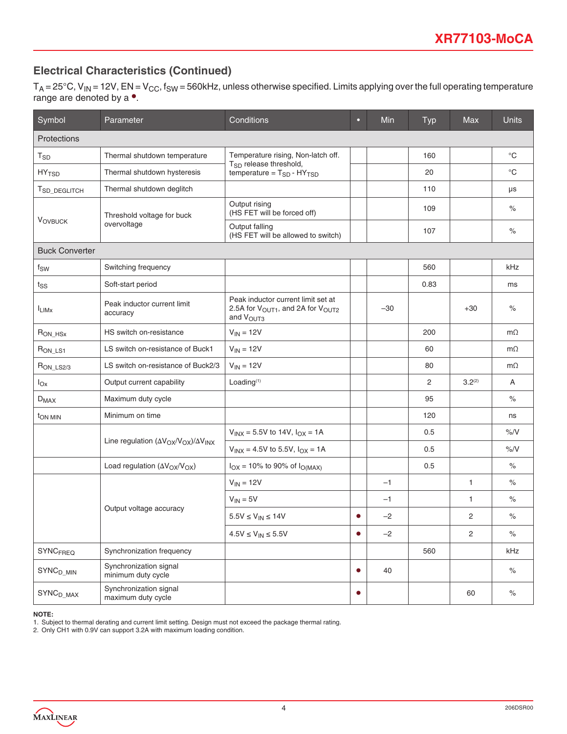## **Electrical Characteristics (Continued)**

 $T_A$  = 25°C, V<sub>IN</sub> = 12V, EN = V<sub>CC</sub>, f<sub>SW</sub> = 560kHz, unless otherwise specified. Limits applying over the full operating temperature range are denoted by a •.

| Symbol                      | Parameter                                               | Conditions                                                                                                               | ۰         | Min   | <b>Typ</b> | Max                | <b>Units</b> |
|-----------------------------|---------------------------------------------------------|--------------------------------------------------------------------------------------------------------------------------|-----------|-------|------------|--------------------|--------------|
| Protections                 |                                                         |                                                                                                                          |           |       |            |                    |              |
| $\mathsf{T}_{\mathsf{SD}}$  | Thermal shutdown temperature                            | Temperature rising, Non-latch off.                                                                                       |           |       | 160        |                    | $^{\circ}$ C |
| $HY$ <sub>TSD</sub>         | Thermal shutdown hysteresis                             | T <sub>SD</sub> release threshold,<br>temperature = $T_{SD}$ - $HY_{TSD}$                                                |           |       | 20         |                    | $^{\circ}C$  |
| T <sub>SD_DEGLITCH</sub>    | Thermal shutdown deglitch                               |                                                                                                                          |           |       | 110        |                    | μs           |
| <b>VOVBUCK</b>              | Threshold voltage for buck                              | Output rising<br>(HS FET will be forced off)                                                                             |           |       | 109        |                    | $\%$         |
|                             | overvoltage                                             | Output falling<br>(HS FET will be allowed to switch)                                                                     |           |       | 107        |                    | $\%$         |
| <b>Buck Converter</b>       |                                                         |                                                                                                                          |           |       |            |                    |              |
| fsw                         | Switching frequency                                     |                                                                                                                          |           |       | 560        |                    | kHz          |
| $t_{SS}$                    | Soft-start period                                       |                                                                                                                          |           |       | 0.83       |                    | ms           |
| <sup>I</sup> LIMX           | Peak inductor current limit<br>accuracy                 | Peak inductor current limit set at<br>2.5A for V <sub>OUT1</sub> , and 2A for V <sub>OUT2</sub><br>and V <sub>OUT3</sub> |           | $-30$ |            | $+30$              | $\%$         |
| $R_{ON_HSx}$                | HS switch on-resistance                                 | $V_{IN} = 12V$                                                                                                           |           |       | 200        |                    | $m\Omega$    |
| R <sub>ON_LS1</sub>         | LS switch on-resistance of Buck1                        | $V_{IN} = 12V$                                                                                                           |           |       | 60         |                    | $m\Omega$    |
| $R_{ON\_LS2/3}$             | LS switch on-resistance of Buck2/3                      | $V_{IN} = 12V$                                                                                                           |           |       | 80         |                    | $m\Omega$    |
| $I_{OX}$                    | Output current capability                               | Loading <sup>(1)</sup>                                                                                                   |           |       | 2          | 3.2 <sup>(2)</sup> | A            |
| $D_{MAX}$                   | Maximum duty cycle                                      |                                                                                                                          |           |       | 95         |                    | $\%$         |
| <b>TON MIN</b>              | Minimum on time                                         |                                                                                                                          |           |       | 120        |                    | ns           |
|                             |                                                         | $V_{INX} = 5.5V$ to 14V, $I_{OX} = 1A$                                                                                   |           |       | 0.5        |                    | $\%$ /V      |
|                             | Line regulation $(\Delta V_{OX}/V_{OX})/\Delta V_{INX}$ | $V_{1NX} = 4.5V$ to 5.5V, $I_{OX} = 1A$                                                                                  |           |       | 0.5        |                    | $\%$ /V      |
|                             | Load regulation (AV <sub>OX</sub> /V <sub>OX</sub> )    | $I_{OX} = 10\%$ to 90% of $I_{O(MAX)}$                                                                                   |           |       | 0.5        |                    | $\%$         |
|                             |                                                         | $V_{IN} = 12V$                                                                                                           |           | $-1$  |            | $\mathbf{1}$       | $\%$         |
|                             |                                                         | $V_{IN} = 5V$                                                                                                            |           | $-1$  |            | $\mathbf{1}$       | $\%$         |
|                             | Output voltage accuracy                                 | $5.5V \leq V_{IN} \leq 14V$                                                                                              | $\bullet$ | $-2$  |            | 2                  | $\%$         |
|                             |                                                         | $4.5 \text{V} \leq \text{V}_{\text{IN}} \leq 5.5 \text{V}$                                                               | $\bullet$ | $-2$  |            | $\overline{c}$     | $\%$         |
| <b>SYNCFREQ</b>             | Synchronization frequency                               |                                                                                                                          |           |       | 560        |                    | kHz          |
| $\text{SYNC}_\text{D\_MIN}$ | Synchronization signal<br>minimum duty cycle            |                                                                                                                          | $\bullet$ | 40    |            |                    | $\%$         |
| $SYNCD_MAX$                 | Synchronization signal<br>maximum duty cycle            |                                                                                                                          | $\bullet$ |       |            | 60                 | $\%$         |

#### **NOTE:**

1. Subject to thermal derating and current limit setting. Design must not exceed the package thermal rating.

2. Only CH1 with 0.9V can support 3.2A with maximum loading condition.

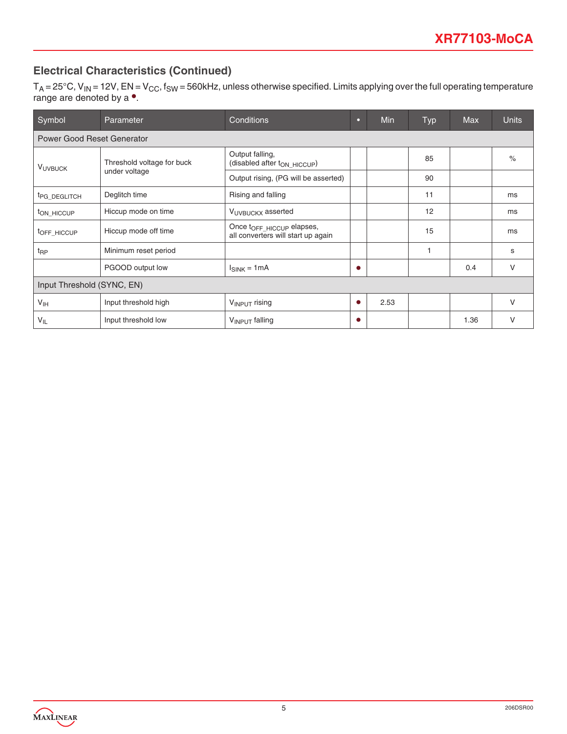# **Electrical Characteristics (Continued)**

 $T_A$  = 25°C, V<sub>IN</sub> = 12V, EN = V<sub>CC</sub>, f<sub>SW</sub> = 560kHz, unless otherwise specified. Limits applying over the full operating temperature range are denoted by a •.

| Symbol                     | Parameter                                   | <b>Conditions</b>                                                           | о         | Min  | <b>Typ</b> | <b>Max</b> | <b>Units</b> |
|----------------------------|---------------------------------------------|-----------------------------------------------------------------------------|-----------|------|------------|------------|--------------|
| Power Good Reset Generator |                                             |                                                                             |           |      |            |            |              |
| <b>VUVBUCK</b>             | Threshold voltage for buck<br>under voltage | Output falling,<br>(disabled after t <sub>ON_HICCUP</sub> )                 |           |      | 85         |            | $\%$         |
|                            |                                             | Output rising, (PG will be asserted)                                        |           |      | 90         |            |              |
| <sup>t</sup> PG_DEGLITCH   | Deglitch time                               | Rising and falling                                                          |           |      | 11         |            | ms           |
| ton HICCUP                 | Hiccup mode on time                         | VUVBUCKX asserted                                                           |           |      | 12         |            | ms           |
| TOFF HICCUP                | Hiccup mode off time                        | Once t <sub>OFF</sub> HICCUP elapses,<br>all converters will start up again |           |      | 15         |            | ms           |
| $t_{\text{RP}}$            | Minimum reset period                        |                                                                             |           |      |            |            | S            |
|                            | PGOOD output low                            | $I_{SINK} = 1mA$                                                            | $\bullet$ |      |            | 0.4        | $\vee$       |
| Input Threshold (SYNC, EN) |                                             |                                                                             |           |      |            |            |              |
| V <sub>IH</sub>            | Input threshold high                        | $V_{INPUT}$ rising                                                          | $\bullet$ | 2.53 |            |            | $\vee$       |
| $V_{IL}$                   | Input threshold low                         | V <sub>INPUT</sub> falling                                                  | ٠         |      |            | 1.36       | V            |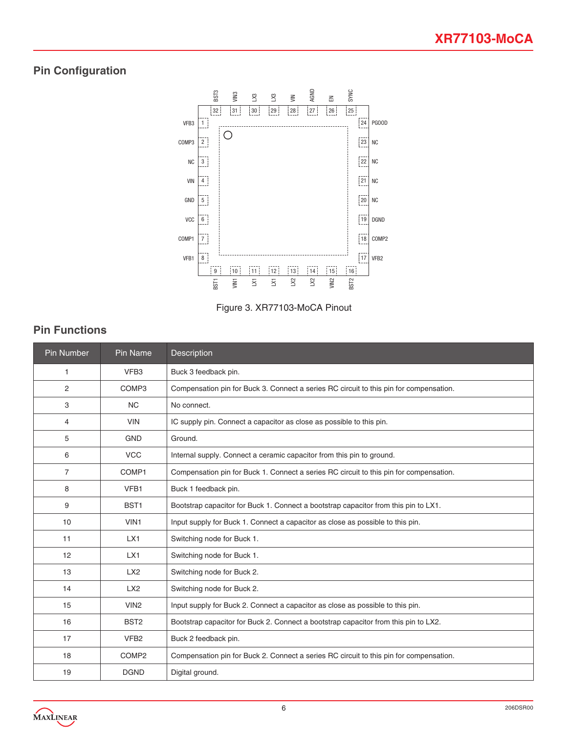# **Pin Configuration**





# **Pin Functions**

| Pin Number     | Pin Name                          | Description                                                                            |  |  |  |
|----------------|-----------------------------------|----------------------------------------------------------------------------------------|--|--|--|
| 1              | VFB <sub>3</sub>                  | Buck 3 feedback pin.                                                                   |  |  |  |
| 2              | COMP <sub>3</sub>                 | Compensation pin for Buck 3. Connect a series RC circuit to this pin for compensation. |  |  |  |
| З              | <b>NC</b>                         | No connect.                                                                            |  |  |  |
| 4              | <b>VIN</b>                        | IC supply pin. Connect a capacitor as close as possible to this pin.                   |  |  |  |
| 5              | <b>GND</b>                        | Ground.                                                                                |  |  |  |
| 6              | <b>VCC</b>                        | Internal supply. Connect a ceramic capacitor from this pin to ground.                  |  |  |  |
| $\overline{7}$ | COMP1                             | Compensation pin for Buck 1. Connect a series RC circuit to this pin for compensation. |  |  |  |
| 8              | VFB1                              | Buck 1 feedback pin.                                                                   |  |  |  |
| 9              | BST <sub>1</sub>                  | Bootstrap capacitor for Buck 1. Connect a bootstrap capacitor from this pin to LX1.    |  |  |  |
| 10             | VIN <sub>1</sub>                  | Input supply for Buck 1. Connect a capacitor as close as possible to this pin.         |  |  |  |
| 11             | LX1                               | Switching node for Buck 1.                                                             |  |  |  |
| 12             | LX1                               | Switching node for Buck 1.                                                             |  |  |  |
| 13             | LX2<br>Switching node for Buck 2. |                                                                                        |  |  |  |
| 14             | LX2                               | Switching node for Buck 2.                                                             |  |  |  |
| 15             | VIN <sub>2</sub>                  | Input supply for Buck 2. Connect a capacitor as close as possible to this pin.         |  |  |  |
| 16             | BST <sub>2</sub>                  | Bootstrap capacitor for Buck 2. Connect a bootstrap capacitor from this pin to LX2.    |  |  |  |
| 17             | VFB <sub>2</sub>                  | Buck 2 feedback pin.                                                                   |  |  |  |
| 18             | COMP <sub>2</sub>                 | Compensation pin for Buck 2. Connect a series RC circuit to this pin for compensation. |  |  |  |
| 19             | <b>DGND</b>                       | Digital ground.                                                                        |  |  |  |

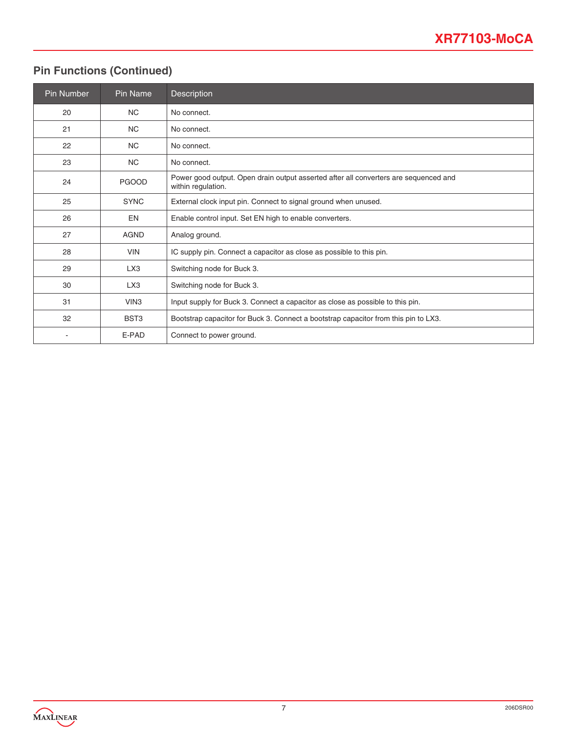# **Pin Functions (Continued)**

| <b>Pin Number</b>        | Pin Name                                                                           | Description                                                                                                |  |
|--------------------------|------------------------------------------------------------------------------------|------------------------------------------------------------------------------------------------------------|--|
| 20                       | <b>NC</b>                                                                          | No connect.                                                                                                |  |
| 21                       | <b>NC</b>                                                                          | No connect.                                                                                                |  |
| 22                       | <b>NC</b>                                                                          | No connect.                                                                                                |  |
| 23                       | <b>NC</b>                                                                          | No connect.                                                                                                |  |
| 24                       | <b>PGOOD</b>                                                                       | Power good output. Open drain output asserted after all converters are sequenced and<br>within regulation. |  |
| 25                       | <b>SYNC</b>                                                                        | External clock input pin. Connect to signal ground when unused.                                            |  |
| 26                       | EN                                                                                 | Enable control input. Set EN high to enable converters.                                                    |  |
| 27                       | <b>AGND</b>                                                                        | Analog ground.                                                                                             |  |
| 28                       | <b>VIN</b><br>IC supply pin. Connect a capacitor as close as possible to this pin. |                                                                                                            |  |
| 29                       | LX <sub>3</sub><br>Switching node for Buck 3.                                      |                                                                                                            |  |
| 30                       | LX3                                                                                | Switching node for Buck 3.                                                                                 |  |
| 31                       | VIN <sub>3</sub>                                                                   | Input supply for Buck 3. Connect a capacitor as close as possible to this pin.                             |  |
| 32                       | BST <sub>3</sub>                                                                   | Bootstrap capacitor for Buck 3. Connect a bootstrap capacitor from this pin to LX3.                        |  |
| $\overline{\phantom{a}}$ | E-PAD                                                                              | Connect to power ground.                                                                                   |  |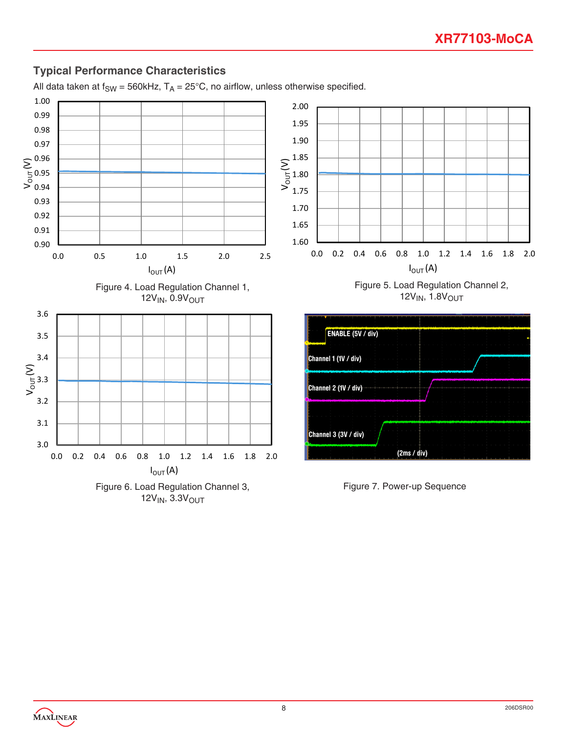# **Typical Performance Characteristics**

All data taken at  $f_{SW}$  = 560kHz,  $T_A$  = 25°C, no airflow, unless otherwise specified.

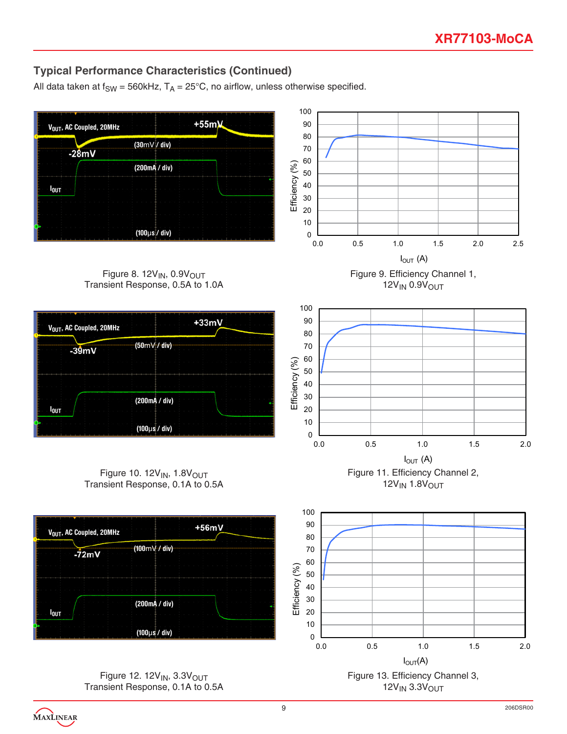# **Typical Performance Characteristics (Continued)**

All data taken at  $f_{SW} = 560k$ Hz,  $T_A = 25^{\circ}$ C, no airflow, unless otherwise specified.



Figure 12.  $12V_{IN}$ ,  $3.3V_{OUT}$ Transient Response, 0.1A to 0.5A

9 206DSR00

 $12V_{IN}$  3.3 $V_{OUT}$ 

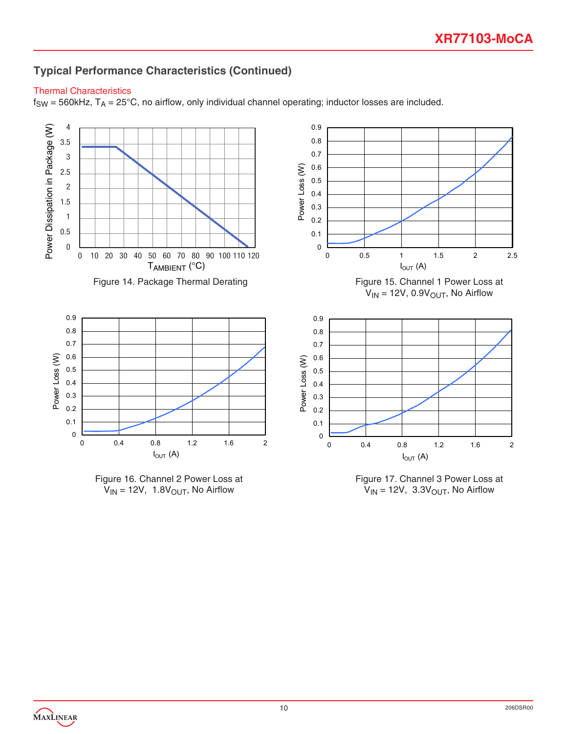# **Typical Performance Characteristics (Continued)**

### Thermal Characteristics

 $f_{SW} = 560$ kHz,  $T_A = 25^{\circ}$ C, no airflow, only individual channel operating; inductor losses are included.







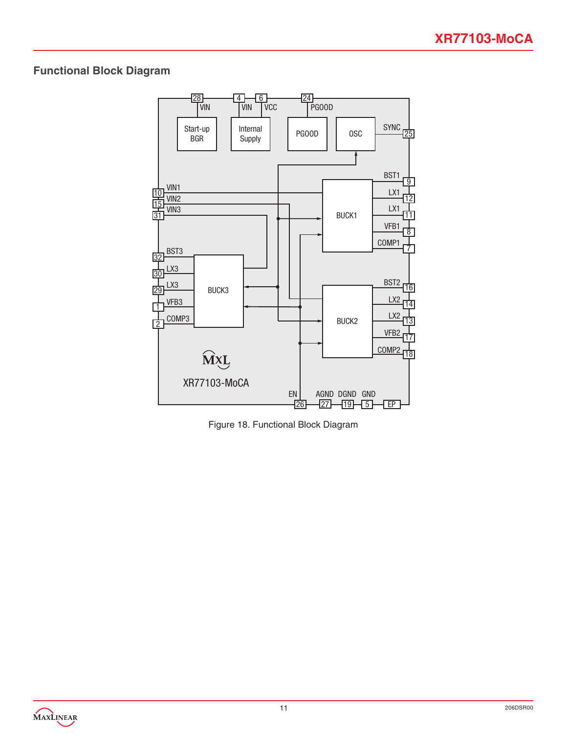## **Functional Block Diagram**



Figure 18. Functional Block Diagram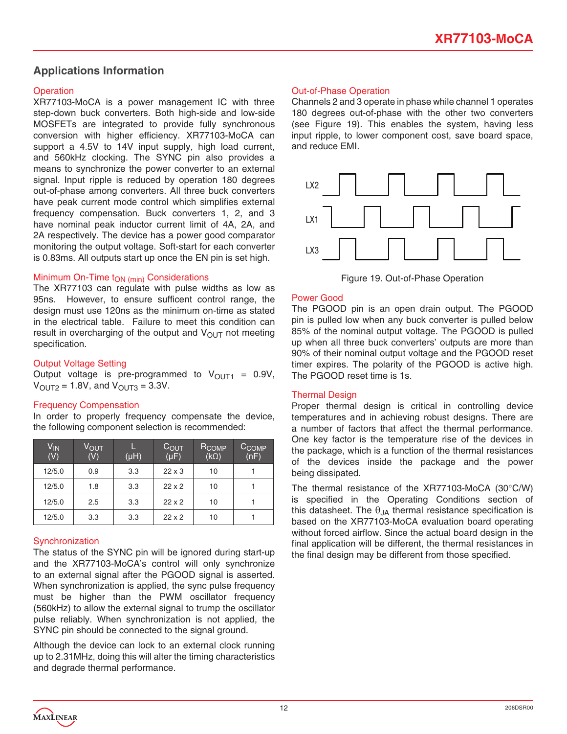### **Applications Information**

#### **Operation**

XR77103-MoCA is a power management IC with three step-down buck converters. Both high-side and low-side MOSFETs are integrated to provide fully synchronous conversion with higher efficiency. XR77103-MoCA can support a 4.5V to 14V input supply, high load current, and 560kHz clocking. The SYNC pin also provides a means to synchronize the power converter to an external signal. Input ripple is reduced by operation 180 degrees out-of-phase among converters. All three buck converters have peak current mode control which simplifies external frequency compensation. Buck converters 1, 2, and 3 have nominal peak inductor current limit of 4A, 2A, and 2A respectively. The device has a power good comparator monitoring the output voltage. Soft-start for each converter is 0.83ms. All outputs start up once the EN pin is set high.

#### Minimum On-Time t<sub>ON (min)</sub> Considerations

The XR77103 can regulate with pulse widths as low as 95ns. However, to ensure sufficent control range, the design must use 120ns as the minimum on-time as stated in the electrical table. Failure to meet this condition can result in overcharging of the output and  $V_{\text{OUT}}$  not meeting specification.

#### Output Voltage Setting

Output voltage is pre-programmed to  $V_{\text{OUT1}} = 0.9V$ ,  $V_{OUT2} = 1.8V$ , and  $V_{OUT3} = 3.3V$ .

#### Frequency Compensation

In order to properly frequency compensate the device, the following component selection is recommended:

| V <sub>IN</sub><br>(V) | V <sub>OUT</sub><br>(V) | $(\mu H)$ | $C_{\text{OUT}}$<br>$(\mu F)$ | R <sub>COMP</sub><br>$(k\Omega)$ | C <sub>COMP</sub><br>(nF) |
|------------------------|-------------------------|-----------|-------------------------------|----------------------------------|---------------------------|
| 12/5.0                 | 0.9                     | 3.3       | $22 \times 3$                 | 10                               |                           |
| 12/5.0                 | 1.8                     | 3.3       | $22 \times 2$                 | 10                               |                           |
| 12/5.0                 | 2.5                     | 3.3       | $22 \times 2$                 | 10                               |                           |
| 12/5.0                 | 3.3                     | 3.3       | $22 \times 2$                 | 10                               |                           |

#### **Synchronization**

The status of the SYNC pin will be ignored during start-up and the XR77103-MoCA's control will only synchronize to an external signal after the PGOOD signal is asserted. When synchronization is applied, the sync pulse frequency must be higher than the PWM oscillator frequency (560kHz) to allow the external signal to trump the oscillator pulse reliably. When synchronization is not applied, the SYNC pin should be connected to the signal ground.

Although the device can lock to an external clock running up to 2.31MHz, doing this will alter the timing characteristics and degrade thermal performance.

#### Out-of-Phase Operation

Channels 2 and 3 operate in phase while channel 1 operates 180 degrees out-of-phase with the other two converters (see Figure 19). This enables the system, having less input ripple, to lower component cost, save board space, and reduce EMI.



Figure 19. Out-of-Phase Operation

#### Power Good

The PGOOD pin is an open drain output. The PGOOD pin is pulled low when any buck converter is pulled below 85% of the nominal output voltage. The PGOOD is pulled up when all three buck converters' outputs are more than 90% of their nominal output voltage and the PGOOD reset timer expires. The polarity of the PGOOD is active high. The PGOOD reset time is 1s.

#### Thermal Design

Proper thermal design is critical in controlling device temperatures and in achieving robust designs. There are a number of factors that affect the thermal performance. One key factor is the temperature rise of the devices in the package, which is a function of the thermal resistances of the devices inside the package and the power being dissipated.

The thermal resistance of the XR77103-MoCA (30°C/W) is specified in the Operating Conditions section of this datasheet. The  $\theta_{JA}$  thermal resistance specification is based on the XR77103-MoCA evaluation board operating without forced airflow. Since the actual board design in the final application will be different, the thermal resistances in the final design may be different from those specified.

MAXLINEAR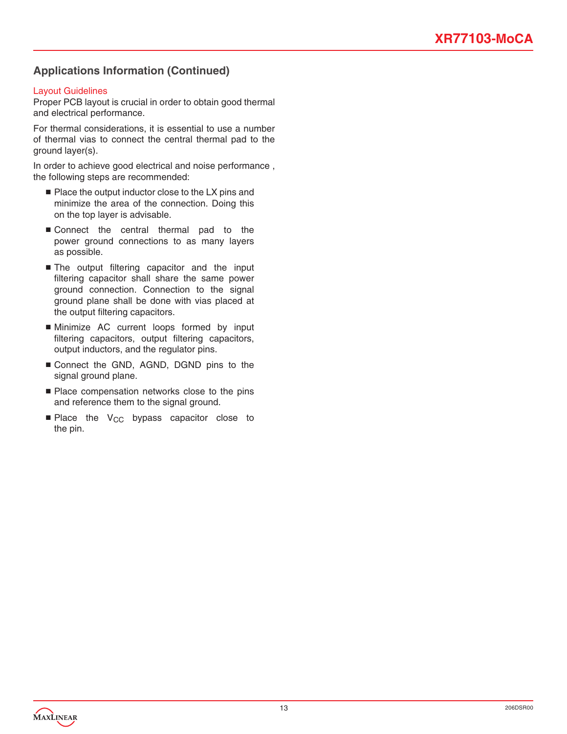### **Applications Information (Continued)**

#### Layout Guidelines

Proper PCB layout is crucial in order to obtain good thermal and electrical performance.

For thermal considerations, it is essential to use a number of thermal vias to connect the central thermal pad to the ground layer(s).

In order to achieve good electrical and noise performance , the following steps are recommended:

- Place the output inductor close to the LX pins and minimize the area of the connection. Doing this on the top layer is advisable.
- Connect the central thermal pad to the power ground connections to as many layers as possible.
- The output filtering capacitor and the input filtering capacitor shall share the same power ground connection. Connection to the signal ground plane shall be done with vias placed at the output filtering capacitors.
- Minimize AC current loops formed by input filtering capacitors, output filtering capacitors, output inductors, and the regulator pins.
- Connect the GND, AGND, DGND pins to the signal ground plane.
- Place compensation networks close to the pins and reference them to the signal ground.
- $\blacksquare$  Place the V<sub>CC</sub> bypass capacitor close to the pin.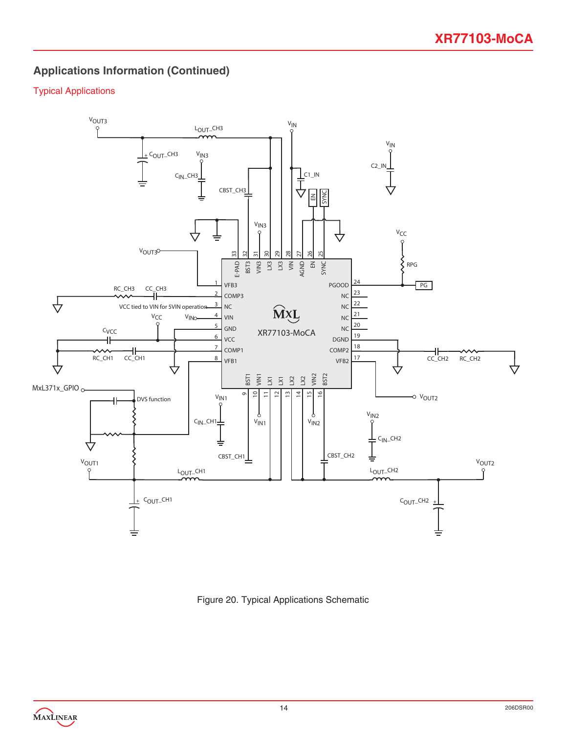# **Applications Information (Continued)**

### Typical Applications



Figure 20. Typical Applications Schematic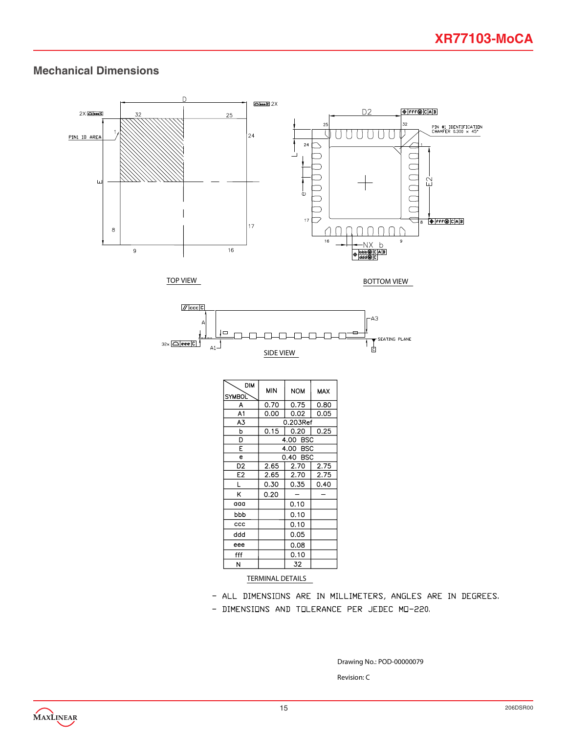### **Mechanical Dimensions**





| <b>DIM</b><br><b>SYMBOL</b> | <b>MIN</b> | <b>NOM</b> | MAX  |  |  |  |
|-----------------------------|------------|------------|------|--|--|--|
| A                           | 0.70       | 0.75       | 0.80 |  |  |  |
| A1                          | 0.00       | 0.02       | 0.05 |  |  |  |
| A3                          |            | 0.203Ref   |      |  |  |  |
| p                           | 0.15       | 0.20       | 0.25 |  |  |  |
| D                           |            | 4.00 BSC   |      |  |  |  |
| E                           |            | 4.00 BSC   |      |  |  |  |
| e                           | 0.40 BSC   |            |      |  |  |  |
| D2                          | 2.65       | 2.70       | 2.75 |  |  |  |
| E <sub>2</sub>              | 2.65       | 2.70       | 2.75 |  |  |  |
| L                           | 0.30       | 0.35       | 0.40 |  |  |  |
| Κ                           | 0.20       |            |      |  |  |  |
| aaa                         |            | 0.10       |      |  |  |  |
| bbb                         |            | 0.10       |      |  |  |  |
| ccc                         |            | 0.10       |      |  |  |  |
| ddd                         |            | 0.05       |      |  |  |  |
| eee                         |            | 0.08       |      |  |  |  |
| fff                         |            | 0.10       |      |  |  |  |
| N                           |            | 32         |      |  |  |  |

#### TERMINAL DETAILS

- ALL DIMENSIONS ARE IN MILLIMETERS, ANGLES ARE IN DEGREES.
- DIMENSIONS AND TOLERANCE PER JEDEC MO-220.

Drawing No.: POD-00000079

Revision: C

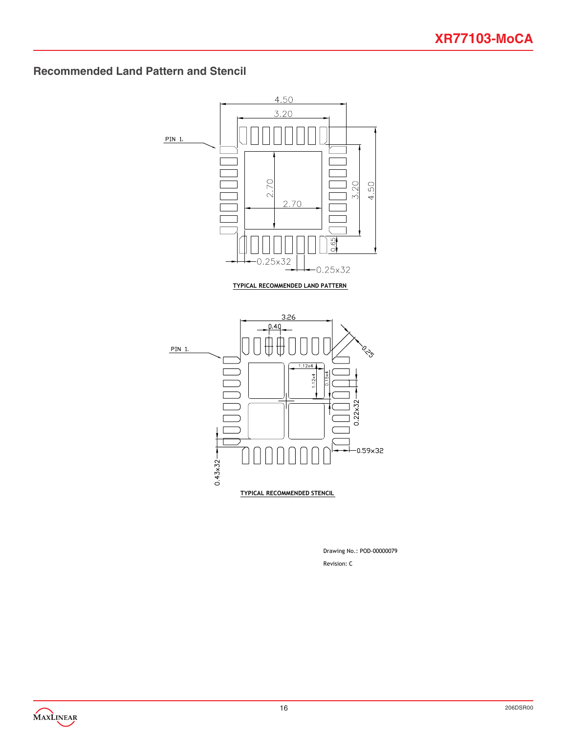# **Recommended Land Pattern and Stencil**



Revision: C Drawing No.: POD-00000079